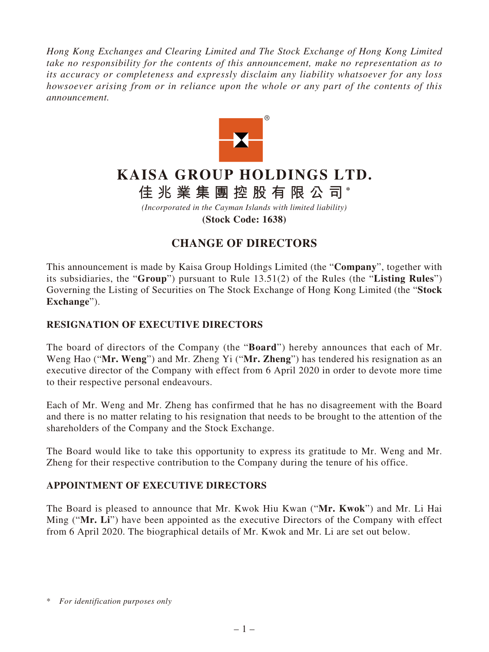*Hong Kong Exchanges and Clearing Limited and The Stock Exchange of Hong Kong Limited take no responsibility for the contents of this announcement, make no representation as to its accuracy or completeness and expressly disclaim any liability whatsoever for any loss howsoever arising from or in reliance upon the whole or any part of the contents of this announcement.*



# **KAISA GROUP HOLDINGS LTD.**

## **佳兆業集團控股有限公司 \***

*(Incorporated in the Cayman Islands with limited liability)* **(Stock Code: 1638)**

### **CHANGE OF DIRECTORS**

This announcement is made by Kaisa Group Holdings Limited (the "**Company**", together with its subsidiaries, the "**Group**") pursuant to Rule 13.51(2) of the Rules (the "**Listing Rules**") Governing the Listing of Securities on The Stock Exchange of Hong Kong Limited (the "**Stock Exchange**").

#### **RESIGNATION OF EXECUTIVE DIRECTORS**

The board of directors of the Company (the "**Board**") hereby announces that each of Mr. Weng Hao ("**Mr. Weng**") and Mr. Zheng Yi ("**Mr. Zheng**") has tendered his resignation as an executive director of the Company with effect from 6 April 2020 in order to devote more time to their respective personal endeavours.

Each of Mr. Weng and Mr. Zheng has confirmed that he has no disagreement with the Board and there is no matter relating to his resignation that needs to be brought to the attention of the shareholders of the Company and the Stock Exchange.

The Board would like to take this opportunity to express its gratitude to Mr. Weng and Mr. Zheng for their respective contribution to the Company during the tenure of his office.

#### **APPOINTMENT OF EXECUTIVE DIRECTORS**

The Board is pleased to announce that Mr. Kwok Hiu Kwan ("**Mr. Kwok**") and Mr. Li Hai Ming ("**Mr. Li**") have been appointed as the executive Directors of the Company with effect from 6 April 2020. The biographical details of Mr. Kwok and Mr. Li are set out below.

<sup>\*</sup> *For identification purposes only*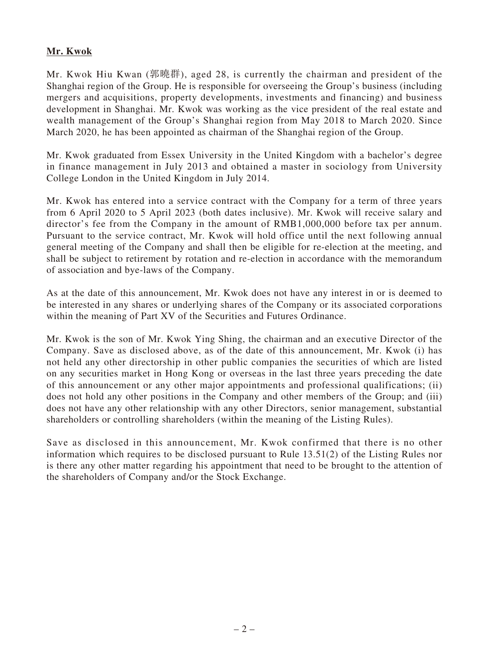#### **Mr. Kwok**

Mr. Kwok Hiu Kwan (郭曉群), aged 28, is currently the chairman and president of the Shanghai region of the Group. He is responsible for overseeing the Group's business (including mergers and acquisitions, property developments, investments and financing) and business development in Shanghai. Mr. Kwok was working as the vice president of the real estate and wealth management of the Group's Shanghai region from May 2018 to March 2020. Since March 2020, he has been appointed as chairman of the Shanghai region of the Group.

Mr. Kwok graduated from Essex University in the United Kingdom with a bachelor's degree in finance management in July 2013 and obtained a master in sociology from University College London in the United Kingdom in July 2014.

Mr. Kwok has entered into a service contract with the Company for a term of three years from 6 April 2020 to 5 April 2023 (both dates inclusive). Mr. Kwok will receive salary and director's fee from the Company in the amount of RMB1,000,000 before tax per annum. Pursuant to the service contract, Mr. Kwok will hold office until the next following annual general meeting of the Company and shall then be eligible for re-election at the meeting, and shall be subject to retirement by rotation and re-election in accordance with the memorandum of association and bye-laws of the Company.

As at the date of this announcement, Mr. Kwok does not have any interest in or is deemed to be interested in any shares or underlying shares of the Company or its associated corporations within the meaning of Part XV of the Securities and Futures Ordinance.

Mr. Kwok is the son of Mr. Kwok Ying Shing, the chairman and an executive Director of the Company. Save as disclosed above, as of the date of this announcement, Mr. Kwok (i) has not held any other directorship in other public companies the securities of which are listed on any securities market in Hong Kong or overseas in the last three years preceding the date of this announcement or any other major appointments and professional qualifications; (ii) does not hold any other positions in the Company and other members of the Group; and (iii) does not have any other relationship with any other Directors, senior management, substantial shareholders or controlling shareholders (within the meaning of the Listing Rules).

Save as disclosed in this announcement, Mr. Kwok confirmed that there is no other information which requires to be disclosed pursuant to Rule 13.51(2) of the Listing Rules nor is there any other matter regarding his appointment that need to be brought to the attention of the shareholders of Company and/or the Stock Exchange.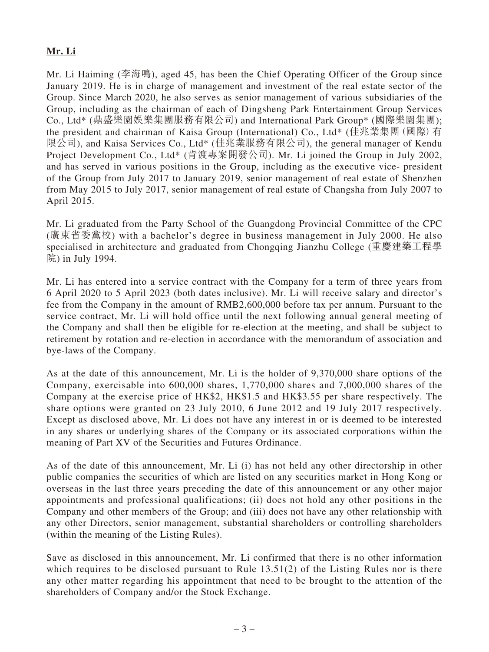#### **Mr. Li**

Mr. Li Haiming (李海鳴), aged 45, has been the Chief Operating Officer of the Group since January 2019. He is in charge of management and investment of the real estate sector of the Group. Since March 2020, he also serves as senior management of various subsidiaries of the Group, including as the chairman of each of Dingsheng Park Entertainment Group Services Co., Ltd\* (鼎盛樂園娛樂集團服務有限公司) and International Park Group\* (國際樂園集團); the president and chairman of Kaisa Group (International) Co., Ltd\* (佳兆業集團(國際)有 限公司), and Kaisa Services Co., Ltd\* (佳兆業服務有限公司), the general manager of Kendu Project Development Co., Ltd\* (肯渡專案開發公司). Mr. Li joined the Group in July 2002, and has served in various positions in the Group, including as the executive vice- president of the Group from July 2017 to January 2019, senior management of real estate of Shenzhen from May 2015 to July 2017, senior management of real estate of Changsha from July 2007 to April 2015.

Mr. Li graduated from the Party School of the Guangdong Provincial Committee of the CPC (廣東省委黨校) with a bachelor's degree in business management in July 2000. He also specialised in architecture and graduated from Chongqing Jianzhu College (重慶建築工程學 院) in July 1994.

Mr. Li has entered into a service contract with the Company for a term of three years from 6 April 2020 to 5 April 2023 (both dates inclusive). Mr. Li will receive salary and director's fee from the Company in the amount of RMB2,600,000 before tax per annum. Pursuant to the service contract, Mr. Li will hold office until the next following annual general meeting of the Company and shall then be eligible for re-election at the meeting, and shall be subject to retirement by rotation and re-election in accordance with the memorandum of association and bye-laws of the Company.

As at the date of this announcement, Mr. Li is the holder of 9,370,000 share options of the Company, exercisable into 600,000 shares, 1,770,000 shares and 7,000,000 shares of the Company at the exercise price of HK\$2, HK\$1.5 and HK\$3.55 per share respectively. The share options were granted on 23 July 2010, 6 June 2012 and 19 July 2017 respectively. Except as disclosed above, Mr. Li does not have any interest in or is deemed to be interested in any shares or underlying shares of the Company or its associated corporations within the meaning of Part XV of the Securities and Futures Ordinance.

As of the date of this announcement, Mr. Li (i) has not held any other directorship in other public companies the securities of which are listed on any securities market in Hong Kong or overseas in the last three years preceding the date of this announcement or any other major appointments and professional qualifications; (ii) does not hold any other positions in the Company and other members of the Group; and (iii) does not have any other relationship with any other Directors, senior management, substantial shareholders or controlling shareholders (within the meaning of the Listing Rules).

Save as disclosed in this announcement, Mr. Li confirmed that there is no other information which requires to be disclosed pursuant to Rule 13.51(2) of the Listing Rules nor is there any other matter regarding his appointment that need to be brought to the attention of the shareholders of Company and/or the Stock Exchange.